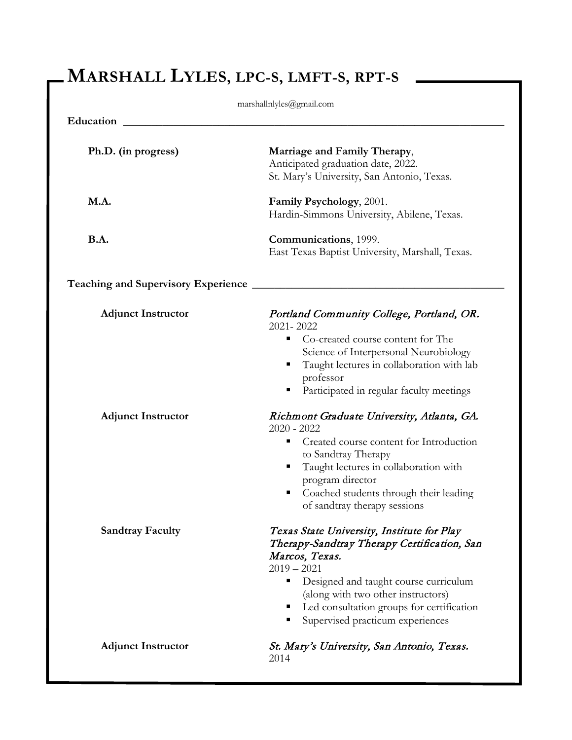# **MARSHALL LYLES, LPC-S, LMFT-S, RPT-S**

| marshallnlyles@gmail.com              |                                                                                                                                                                                                                                                                                                     |  |
|---------------------------------------|-----------------------------------------------------------------------------------------------------------------------------------------------------------------------------------------------------------------------------------------------------------------------------------------------------|--|
| Education                             |                                                                                                                                                                                                                                                                                                     |  |
| Ph.D. (in progress)                   | Marriage and Family Therapy,<br>Anticipated graduation date, 2022.<br>St. Mary's University, San Antonio, Texas.                                                                                                                                                                                    |  |
| M.A.                                  | Family Psychology, 2001.<br>Hardin-Simmons University, Abilene, Texas.                                                                                                                                                                                                                              |  |
| <b>B.A.</b>                           | Communications, 1999.<br>East Texas Baptist University, Marshall, Texas.                                                                                                                                                                                                                            |  |
| Teaching and Supervisory Experience _ |                                                                                                                                                                                                                                                                                                     |  |
| <b>Adjunct Instructor</b>             | Portland Community College, Portland, OR.<br>2021-2022<br>Co-created course content for The<br>п<br>Science of Interpersonal Neurobiology<br>Taught lectures in collaboration with lab<br>professor<br>Participated in regular faculty meetings                                                     |  |
| <b>Adjunct Instructor</b>             | Richmont Graduate University, Atlanta, GA.<br>$2020 - 2022$<br>Created course content for Introduction<br>п<br>to Sandtray Therapy<br>Taught lectures in collaboration with<br>п<br>program director<br>Coached students through their leading<br>п<br>of sandtray therapy sessions                 |  |
| <b>Sandtray Faculty</b>               | Texas State University, Institute for Play<br>Therapy-Sandtray Therapy Certification, San<br>Marcos, Texas.<br>$2019 - 2021$<br>Designed and taught course curriculum<br>п<br>(along with two other instructors)<br>• Led consultation groups for certification<br>Supervised practicum experiences |  |
| <b>Adjunct Instructor</b>             | St. Mary's University, San Antonio, Texas.<br>2014                                                                                                                                                                                                                                                  |  |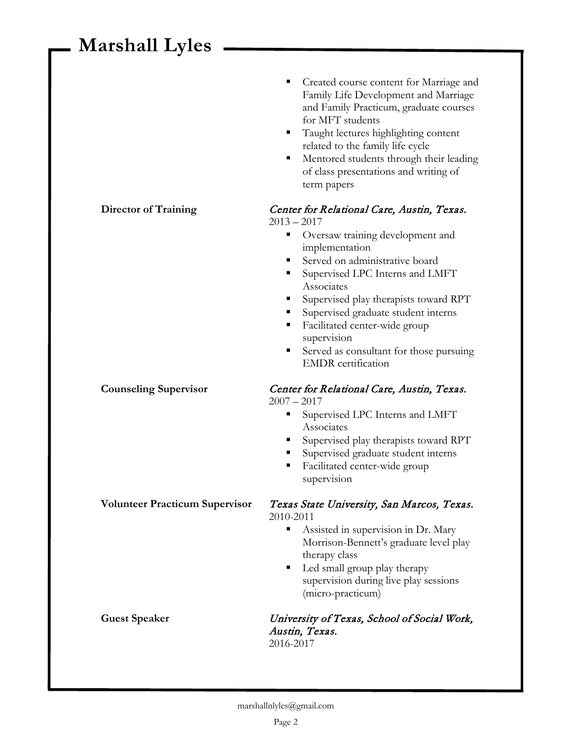|                                       | Created course content for Marriage and<br>Family Life Development and Marriage<br>and Family Practicum, graduate courses<br>for MFT students<br>Taught lectures highlighting content<br>related to the family life cycle<br>Mentored students through their leading<br>ш<br>of class presentations and writing of<br>term papers                                                                                      |
|---------------------------------------|------------------------------------------------------------------------------------------------------------------------------------------------------------------------------------------------------------------------------------------------------------------------------------------------------------------------------------------------------------------------------------------------------------------------|
| <b>Director of Training</b>           | Center for Relational Care, Austin, Texas.<br>$2013 - 2017$<br>Oversaw training development and<br>implementation<br>Served on administrative board<br>Supervised LPC Interns and LMFT<br>ш<br>Associates<br>Supervised play therapists toward RPT<br>Supervised graduate student interns<br>Facilitated center-wide group<br>supervision<br>Served as consultant for those pursuing<br>п<br><b>EMDR</b> certification |
| <b>Counseling Supervisor</b>          | Center for Relational Care, Austin, Texas.<br>$2007 - 2017$<br>Supervised LPC Interns and LMFT<br>Associates<br>Supervised play therapists toward RPT<br>Supervised graduate student interns<br>Facilitated center-wide group<br>ш<br>supervision                                                                                                                                                                      |
| <b>Volunteer Practicum Supervisor</b> | Texas State University, San Marcos, Texas.<br>2010-2011<br>Assisted in supervision in Dr. Mary<br>п<br>Morrison-Bennett's graduate level play<br>therapy class<br>Led small group play therapy<br>ш<br>supervision during live play sessions<br>(micro-practicum)                                                                                                                                                      |
| <b>Guest Speaker</b>                  | University of Texas, School of Social Work,<br>Austin, Texas.<br>2016-2017                                                                                                                                                                                                                                                                                                                                             |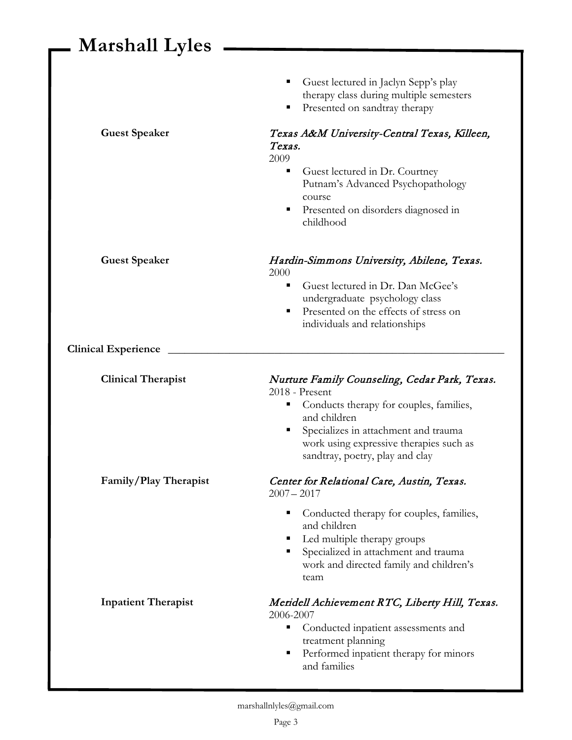|                            | Guest lectured in Jaclyn Sepp's play<br>therapy class during multiple semesters<br>Presented on sandtray therapy<br>п                                                                                                                                      |
|----------------------------|------------------------------------------------------------------------------------------------------------------------------------------------------------------------------------------------------------------------------------------------------------|
| <b>Guest Speaker</b>       | Texas A&M University-Central Texas, Killeen,<br>Texas.<br>2009<br>Guest lectured in Dr. Courtney<br>п                                                                                                                                                      |
|                            | Putnam's Advanced Psychopathology<br>course<br>Presented on disorders diagnosed in<br>п                                                                                                                                                                    |
|                            | childhood                                                                                                                                                                                                                                                  |
| <b>Guest Speaker</b>       | Hardin-Simmons University, Abilene, Texas.<br>2000                                                                                                                                                                                                         |
|                            | Guest lectured in Dr. Dan McGee's<br>٠<br>undergraduate psychology class<br>Presented on the effects of stress on<br>٠<br>individuals and relationships                                                                                                    |
| <b>Clinical Experience</b> |                                                                                                                                                                                                                                                            |
| <b>Clinical Therapist</b>  | Nurture Family Counseling, Cedar Park, Texas.<br>2018 - Present<br>Conducts therapy for couples, families,<br>п<br>and children<br>Specializes in attachment and trauma<br>ш<br>work using expressive therapies such as<br>sandtray, poetry, play and clay |
| Family/Play Therapist      | Center for Relational Care, Austin, Texas.<br>$2007 - 2017$                                                                                                                                                                                                |
|                            | Conducted therapy for couples, families,<br>٠<br>and children<br>Led multiple therapy groups<br>Specialized in attachment and trauma<br>٠<br>work and directed family and children's<br>team                                                               |
| <b>Inpatient Therapist</b> | Meridell Achievement RTC, Liberty Hill, Texas.<br>2006-2007<br>Conducted inpatient assessments and<br>п<br>treatment planning<br>Performed inpatient therapy for minors<br>п<br>and families                                                               |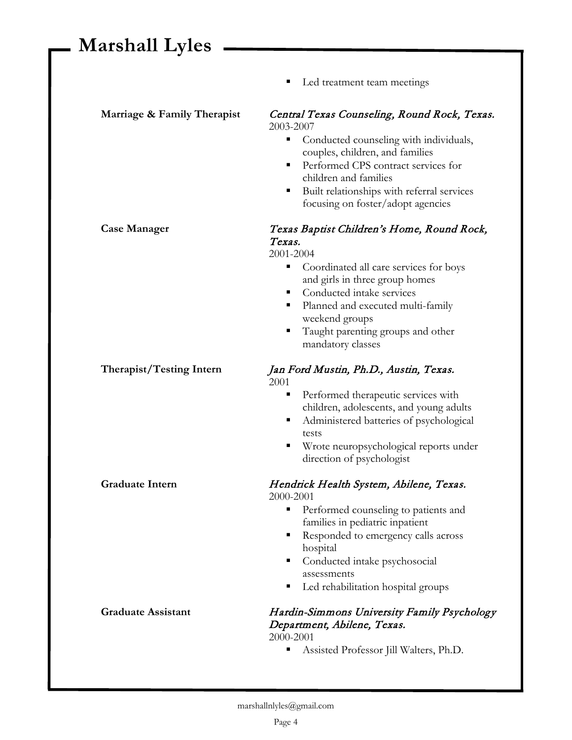|                             | Led treatment team meetings<br>Е                          |
|-----------------------------|-----------------------------------------------------------|
| Marriage & Family Therapist | Central Texas Counseling, Round Rock, Texas.<br>2003-2007 |
|                             | Conducted counseling with individuals,<br>п               |
|                             | couples, children, and families                           |
|                             | Performed CPS contract services for<br>٠                  |
|                             | children and families                                     |
|                             | Built relationships with referral services<br>п           |
|                             | focusing on foster/adopt agencies                         |
| <b>Case Manager</b>         | Texas Baptist Children's Home, Round Rock,                |
|                             | Texas.                                                    |
|                             | 2001-2004                                                 |
|                             | Coordinated all care services for boys<br>п               |
|                             | and girls in three group homes                            |
|                             | Conducted intake services<br>٠                            |
|                             | Planned and executed multi-family<br>ш<br>weekend groups  |
|                             | Taught parenting groups and other<br>п                    |
|                             | mandatory classes                                         |
| Therapist/Testing Intern    | Jan Ford Mustin, Ph.D., Austin, Texas.<br>2001            |
|                             | Performed therapeutic services with<br>٠                  |
|                             | children, adolescents, and young adults                   |
|                             | Administered batteries of psychological<br>п              |
|                             | tests                                                     |
|                             | Wrote neuropsychological reports under<br>п               |
|                             | direction of psychologist                                 |
| <b>Graduate Intern</b>      | Hendrick Health System, Abilene, Texas.                   |
|                             | 2000-2001                                                 |
|                             | Performed counseling to patients and<br>٠                 |
|                             | families in pediatric inpatient<br>п                      |
|                             | Responded to emergency calls across<br>hospital           |
|                             | Conducted intake psychosocial<br>п                        |
|                             | assessments                                               |
|                             | Led rehabilitation hospital groups<br>п                   |
| <b>Graduate Assistant</b>   | Hardin-Simmons University Family Psychology               |
|                             | Department, Abilene, Texas.                               |
|                             | 2000-2001                                                 |
|                             | Assisted Professor Jill Walters, Ph.D.<br>ш               |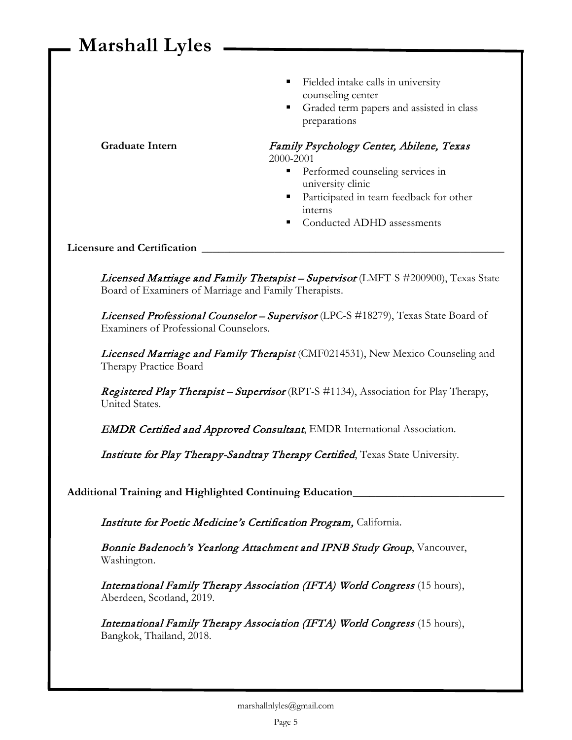- Fielded intake calls in university counseling center
- Graded term papers and assisted in class preparations

Graduate Intern Family Psychology Center, Abilene, Texas 2000-2001

- **Performed counseling services in** university clinic
- **Participated in team feedback for other** interns
- Conducted ADHD assessments

**Licensure and Certification \_\_\_\_\_\_\_\_\_\_\_\_\_\_\_\_\_\_\_\_\_\_\_\_\_\_\_\_\_\_\_\_\_\_\_\_\_\_\_\_\_\_\_\_\_\_\_\_\_\_\_\_\_\_**

Licensed Marriage and Family Therapist - Supervisor (LMFT-S #200900), Texas State Board of Examiners of Marriage and Family Therapists.

Licensed Professional Counselor - Supervisor (LPC-S #18279), Texas State Board of Examiners of Professional Counselors.

Licensed Marriage and Family Therapist (CMF0214531), New Mexico Counseling and Therapy Practice Board

Registered Play Therapist - Supervisor (RPT-S #1134), Association for Play Therapy, United States.

**EMDR Certified and Approved Consultant**, EMDR International Association.

Institute for Play Therapy-Sandtray Therapy Certified, Texas State University.

**Additional Training and Highlighted Continuing Education\_\_\_\_\_\_\_\_\_\_\_\_\_\_\_\_\_\_\_\_\_\_\_\_\_\_\_**

Institute for Poetic Medicine's Certification Program, California.

Bonnie Badenoch's Yearlong Attachment and IPNB Study Group, Vancouver, Washington.

International Family Therapy Association (IFTA) World Congress (15 hours), Aberdeen, Scotland, 2019.

International Family Therapy Association (IFTA) World Congress (15 hours), Bangkok, Thailand, 2018.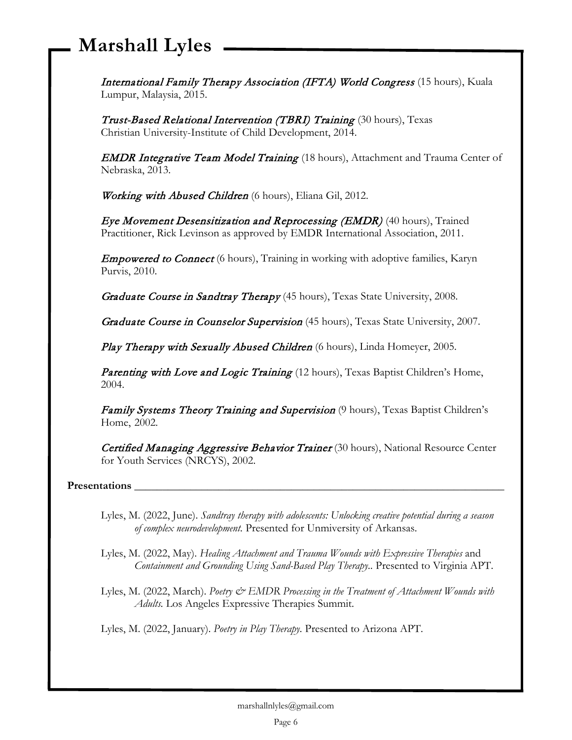International Family Therapy Association (IFTA) World Congress (15 hours), Kuala Lumpur, Malaysia, 2015.

Trust-Based Relational Intervention (TBRI) Training (30 hours), Texas Christian University-Institute of Child Development, 2014.

**EMDR Integrative Team Model Training** (18 hours), Attachment and Trauma Center of Nebraska, 2013.

Working with Abused Children (6 hours), Eliana Gil, 2012.

Eye Movement Desensitization and Reprocessing (EMDR) (40 hours), Trained Practitioner, Rick Levinson as approved by EMDR International Association, 2011.

**Empowered to Connect** (6 hours), Training in working with adoptive families, Karyn Purvis, 2010.

Graduate Course in Sandtray Therapy (45 hours), Texas State University, 2008.

Graduate Course in Counselor Supervision (45 hours), Texas State University, 2007.

Play Therapy with Sexually Abused Children (6 hours), Linda Homeyer, 2005.

Parenting with Love and Logic Training (12 hours), Texas Baptist Children's Home, 2004.

Family Systems Theory Training and Supervision (9 hours), Texas Baptist Children's Home, 2002.

Certified Managing Aggressive Behavior Trainer (30 hours), National Resource Center for Youth Services (NRCYS), 2002.

**Presentations \_\_\_\_\_\_\_\_\_\_\_\_\_\_\_\_\_\_\_\_\_\_\_\_\_\_\_\_\_\_\_\_\_\_\_\_\_\_\_\_\_\_\_\_\_\_\_\_\_\_\_\_\_\_\_\_\_\_\_\_\_\_\_\_\_\_**

Lyles, M. (2022, June). *Sandtray therapy with adolescents: Unlocking creative potential during a season of complex neurodevelopment.* Presented for Unmiversity of Arkansas.

Lyles, M. (2022, May). *Healing Attachment and Trauma Wounds with Expressive Therapies* and *Containment and Grounding Using Sand-Based Play Therapy..* Presented to Virginia APT.

Lyles, M. (2022, March). *Poetry & EMDR Processing in the Treatment of Attachment Wounds with Adults.* Los Angeles Expressive Therapies Summit.

Lyles, M. (2022, January). *Poetry in Play Therapy.* Presented to Arizona APT.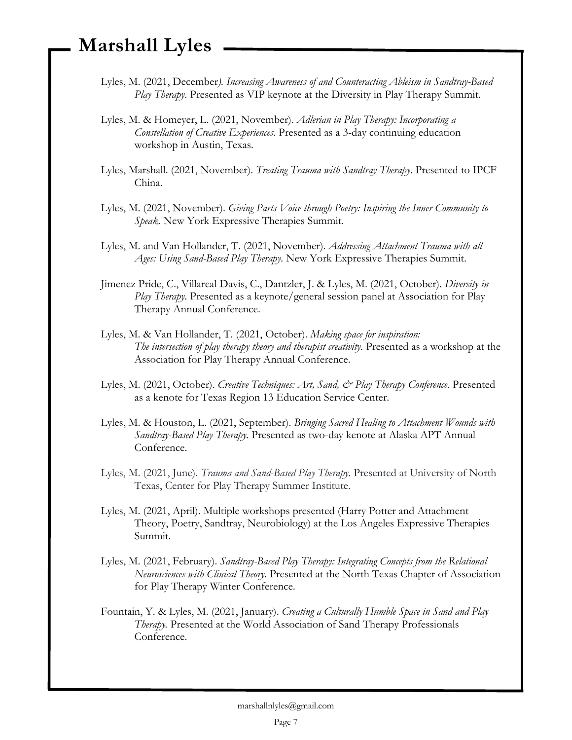- Lyles, M. (2021, December*). Increasing Awareness of and Counteracting Ableism in Sandtray-Based Play Therapy*. Presented as VIP keynote at the Diversity in Play Therapy Summit.
- Lyles, M. & Homeyer, L. (2021, November). *Adlerian in Play Therapy: Incorporating a Constellation of Creative Experiences*. Presented as a 3-day continuing education workshop in Austin, Texas.
- Lyles, Marshall. (2021, November). *Treating Trauma with Sandtray Therapy*. Presented to IPCF China.
- Lyles, M. (2021, November). *Giving Parts Voice through Poetry: Inspiring the Inner Community to Speak.* New York Expressive Therapies Summit.
- Lyles, M. and Van Hollander, T. (2021, November). *Addressing Attachment Trauma with all Ages: Using Sand-Based Play Therapy.* New York Expressive Therapies Summit.
- Jimenez Pride, C., Villareal Davis, C., Dantzler, J. & Lyles, M. (2021, October). *Diversity in Play Therapy*. Presented as a keynote/general session panel at Association for Play Therapy Annual Conference.
- Lyles, M. & Van Hollander, T. (2021, October). *Making space for inspiration: The intersection of play therapy theory and therapist creativity.* Presented as a workshop at the Association for Play Therapy Annual Conference.
- Lyles, M. (2021, October). *Creative Techniques: Art, Sand, & Play Therapy Conference*. Presented as a kenote for Texas Region 13 Education Service Center.
- Lyles, M. & Houston, L. (2021, September). *Bringing Sacred Healing to Attachment Wounds with Sandtray-Based Play Therapy.* Presented as two-day kenote at Alaska APT Annual Conference.
- Lyles, M. (2021, June). *Trauma and Sand-Based Play Therapy.* Presented at University of North Texas, Center for Play Therapy Summer Institute.
- Lyles, M. (2021, April). Multiple workshops presented (Harry Potter and Attachment Theory, Poetry, Sandtray, Neurobiology) at the Los Angeles Expressive Therapies Summit.
- Lyles, M. (2021, February). *Sandtray-Based Play Therapy: Integrating Concepts from the Relational Neurosciences with Clinical Theory*. Presented at the North Texas Chapter of Association for Play Therapy Winter Conference.
- Fountain, Y. & Lyles, M. (2021, January). *Creating a Culturally Humble Space in Sand and Play Therapy.* Presented at the World Association of Sand Therapy Professionals Conference.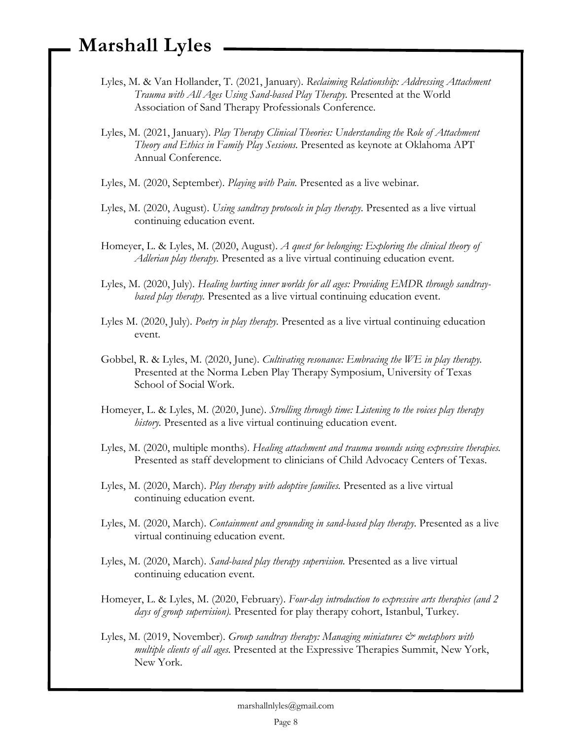- Lyles, M. & Van Hollander, T. (2021, January). *Reclaiming Relationship: Addressing Attachment Trauma with All Ages Using Sand-based Play Therapy.* Presented at the World Association of Sand Therapy Professionals Conference.
- Lyles, M. (2021, January). *Play Therapy Clinical Theories: Understanding the Role of Attachment Theory and Ethics in Family Play Sessions.* Presented as keynote at Oklahoma APT Annual Conference.
- Lyles, M. (2020, September). *Playing with Pain.* Presented as a live webinar.
- Lyles, M. (2020, August). *Using sandtray protocols in play therapy.* Presented as a live virtual continuing education event.
- Homeyer, L. & Lyles, M. (2020, August). *A quest for belonging: Exploring the clinical theory of Adlerian play therapy.* Presented as a live virtual continuing education event.
- Lyles, M. (2020, July). *Healing hurting inner worlds for all ages: Providing EMDR through sandtraybased play therapy.* Presented as a live virtual continuing education event.
- Lyles M. (2020, July). *Poetry in play therapy.* Presented as a live virtual continuing education event.
- Gobbel, R. & Lyles, M. (2020, June). *Cultivating resonance: Embracing the WE in play therapy.* Presented at the Norma Leben Play Therapy Symposium, University of Texas School of Social Work.
- Homeyer, L. & Lyles, M. (2020, June). *Strolling through time: Listening to the voices play therapy history.* Presented as a live virtual continuing education event.
- Lyles, M. (2020, multiple months). *Healing attachment and trauma wounds using expressive therapies.*  Presented as staff development to clinicians of Child Advocacy Centers of Texas.
- Lyles, M. (2020, March). *Play therapy with adoptive families.* Presented as a live virtual continuing education event.
- Lyles, M. (2020, March). *Containment and grounding in sand-based play therapy.* Presented as a live virtual continuing education event.
- Lyles, M. (2020, March). *Sand-based play therapy supervision.* Presented as a live virtual continuing education event.
- Homeyer, L. & Lyles, M. (2020, February). *Four-day introduction to expressive arts therapies (and 2 days of group supervision).* Presented for play therapy cohort, Istanbul, Turkey.
- Lyles, M. (2019, November). *Group sandtray therapy: Managing miniatures*  $\mathcal{Q}^*$  *metaphors with multiple clients of all ages.* Presented at the Expressive Therapies Summit, New York, New York.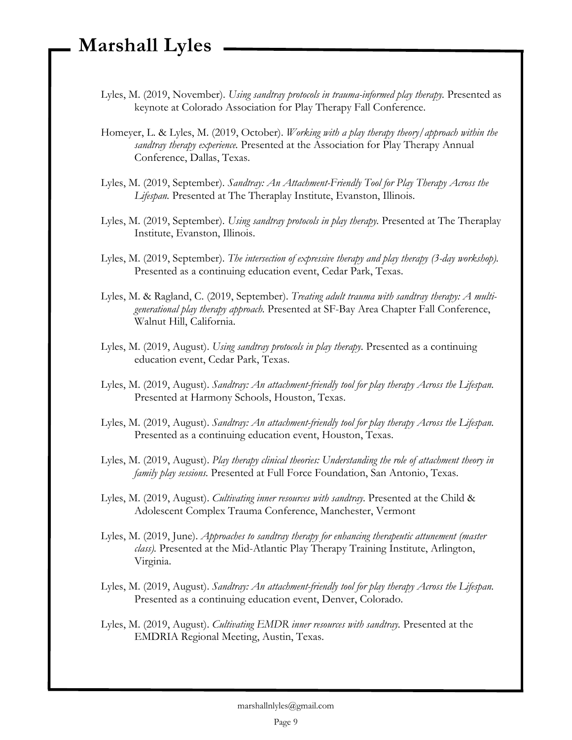- Lyles, M. (2019, November). *Using sandtray protocols in trauma-informed play therapy*. Presented as keynote at Colorado Association for Play Therapy Fall Conference.
- Homeyer, L. & Lyles, M. (2019, October). *Working with a play therapy theory/approach within the sandtray therapy experience.* Presented at the Association for Play Therapy Annual Conference, Dallas, Texas.
- Lyles, M. (2019, September). *Sandtray: An Attachment-Friendly Tool for Play Therapy Across the Lifespan.* Presented at The Theraplay Institute, Evanston, Illinois.
- Lyles, M. (2019, September). *Using sandtray protocols in play therapy.* Presented at The Theraplay Institute, Evanston, Illinois.
- Lyles, M. (2019, September). *The intersection of expressive therapy and play therapy (3-day workshop).* Presented as a continuing education event, Cedar Park, Texas.
- Lyles, M. & Ragland, C. (2019, September). *Treating adult trauma with sandtray therapy: A multigenerational play therapy approach.* Presented at SF-Bay Area Chapter Fall Conference, Walnut Hill, California.
- Lyles, M. (2019, August). *Using sandtray protocols in play therapy.* Presented as a continuing education event, Cedar Park, Texas.
- Lyles, M. (2019, August). *Sandtray: An attachment-friendly tool for play therapy Across the Lifespan.*  Presented at Harmony Schools, Houston, Texas.
- Lyles, M. (2019, August). *Sandtray: An attachment-friendly tool for play therapy Across the Lifespan.*  Presented as a continuing education event, Houston, Texas.
- Lyles, M. (2019, August). *Play therapy clinical theories: Understanding the role of attachment theory in family play sessions.* Presented at Full Force Foundation, San Antonio, Texas.
- Lyles, M. (2019, August). *Cultivating inner resources with sandtray.* Presented at the Child & Adolescent Complex Trauma Conference, Manchester, Vermont
- Lyles, M. (2019, June). *Approaches to sandtray therapy for enhancing therapeutic attunement (master class).* Presented at the Mid-Atlantic Play Therapy Training Institute, Arlington, Virginia.
- Lyles, M. (2019, August). *Sandtray: An attachment-friendly tool for play therapy Across the Lifespan.*  Presented as a continuing education event, Denver, Colorado.
- Lyles, M. (2019, August). *Cultivating EMDR inner resources with sandtray.* Presented at the EMDRIA Regional Meeting, Austin, Texas.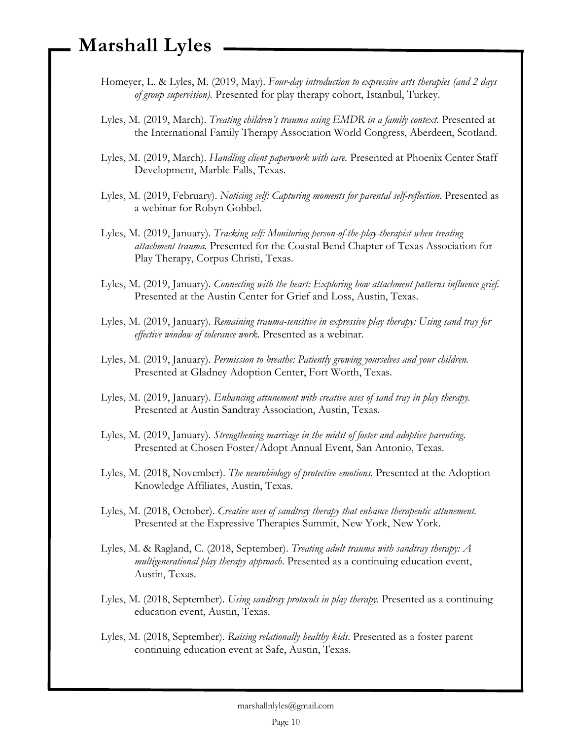- Homeyer, L. & Lyles, M. (2019, May). *Four-day introduction to expressive arts therapies (and 2 days of group supervision).* Presented for play therapy cohort, Istanbul, Turkey.
- Lyles, M. (2019, March). *Treating children's trauma using EMDR in a family context.* Presented at the International Family Therapy Association World Congress, Aberdeen, Scotland.
- Lyles, M. (2019, March). *Handling client paperwork with care.* Presented at Phoenix Center Staff Development, Marble Falls, Texas.
- Lyles, M. (2019, February). *Noticing self: Capturing moments for parental self-reflection*. Presented as a webinar for Robyn Gobbel.
- Lyles, M. (2019, January). *Tracking self: Monitoring person-of-the-play-therapist when treating attachment trauma.* Presented for the Coastal Bend Chapter of Texas Association for Play Therapy, Corpus Christi, Texas.
- Lyles, M. (2019, January). *Connecting with the heart: Exploring how attachment patterns influence grief.*  Presented at the Austin Center for Grief and Loss, Austin, Texas.
- Lyles, M. (2019, January). *Remaining trauma-sensitive in expressive play therapy: Using sand tray for effective window of tolerance work.* Presented as a webinar.
- Lyles, M. (2019, January). *Permission to breathe: Patiently growing yourselves and your children.*  Presented at Gladney Adoption Center, Fort Worth, Texas.
- Lyles, M. (2019, January). *Enhancing attunement with creative uses of sand tray in play therapy.* Presented at Austin Sandtray Association, Austin, Texas.
- Lyles, M. (2019, January). *Strengthening marriage in the midst of foster and adoptive parenting.*  Presented at Chosen Foster/Adopt Annual Event, San Antonio, Texas.
- Lyles, M. (2018, November). *The neurobiology of protective emotions.* Presented at the Adoption Knowledge Affiliates, Austin, Texas.
- Lyles, M. (2018, October). *Creative uses of sandtray therapy that enhance therapeutic attunement.* Presented at the Expressive Therapies Summit, New York, New York.
- Lyles, M. & Ragland, C. (2018, September). *Treating adult trauma with sandtray therapy: A multigenerational play therapy approach*. Presented as a continuing education event, Austin, Texas.
- Lyles, M. (2018, September). *Using sandtray protocols in play therapy*. Presented as a continuing education event, Austin, Texas.
- Lyles, M. (2018, September). *Raising relationally healthy kids*. Presented as a foster parent continuing education event at Safe, Austin, Texas.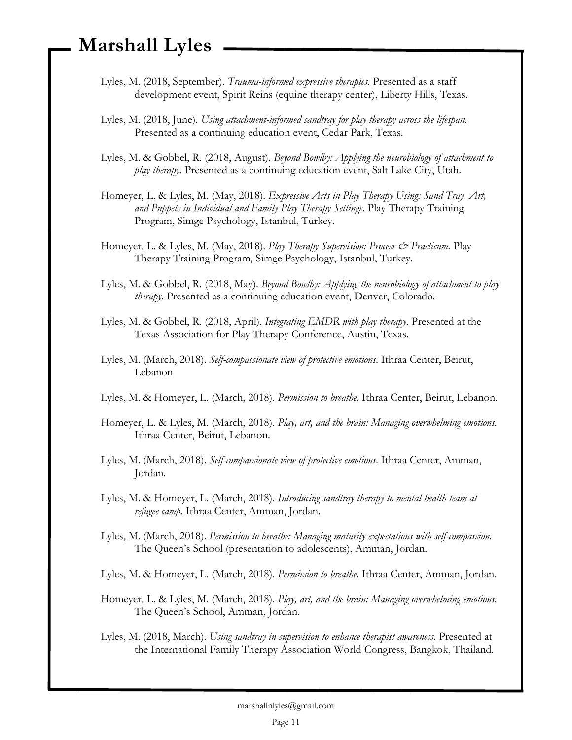- Lyles, M. (2018, September). *Trauma-informed expressive therapies*. Presented as a staff development event, Spirit Reins (equine therapy center), Liberty Hills, Texas.
- Lyles, M. (2018, June). *Using attachment-informed sandtray for play therapy across the lifespan*. Presented as a continuing education event, Cedar Park, Texas.
- Lyles, M. & Gobbel, R. (2018, August). *Beyond Bowlby: Applying the neurobiology of attachment to play therapy.* Presented as a continuing education event, Salt Lake City, Utah.
- Homeyer, L. & Lyles, M. (May, 2018). *Expressive Arts in Play Therapy Using: Sand Tray, Art, and Puppets in Individual and Family Play Therapy Settings*. Play Therapy Training Program, Simge Psychology, Istanbul, Turkey.
- Homeyer, L. & Lyles, M. (May, 2018). *Play Therapy Supervision: Process & Practicum*. Play Therapy Training Program, Simge Psychology, Istanbul, Turkey.
- Lyles, M. & Gobbel, R. (2018, May). *Beyond Bowlby: Applying the neurobiology of attachment to play therapy.* Presented as a continuing education event, Denver, Colorado.
- Lyles, M. & Gobbel, R. (2018, April). *Integrating EMDR with play therapy*. Presented at the Texas Association for Play Therapy Conference, Austin, Texas.
- Lyles, M. (March, 2018). *Self-compassionate view of protective emotions*. Ithraa Center, Beirut, Lebanon
- Lyles, M. & Homeyer, L. (March, 2018). *Permission to breathe*. Ithraa Center, Beirut, Lebanon.
- Homeyer, L. & Lyles, M. (March, 2018). *Play, art, and the brain: Managing overwhelming emotions.* Ithraa Center, Beirut, Lebanon.
- Lyles, M. (March, 2018). *Self-compassionate view of protective emotions*. Ithraa Center, Amman, Jordan.
- Lyles, M. & Homeyer, L. (March, 2018). *Introducing sandtray therapy to mental health team at refugee camp.* Ithraa Center, Amman, Jordan.
- Lyles, M. (March, 2018). *Permission to breathe: Managing maturity expectations with self-compassion.*  The Queen's School (presentation to adolescents), Amman, Jordan.
- Lyles, M. & Homeyer, L. (March, 2018). *Permission to breathe.* Ithraa Center, Amman, Jordan.
- Homeyer, L. & Lyles, M. (March, 2018). *Play, art, and the brain: Managing overwhelming emotions.* The Queen's School, Amman, Jordan.
- Lyles, M. (2018, March). *Using sandtray in supervision to enhance therapist awareness.* Presented at the International Family Therapy Association World Congress, Bangkok, Thailand.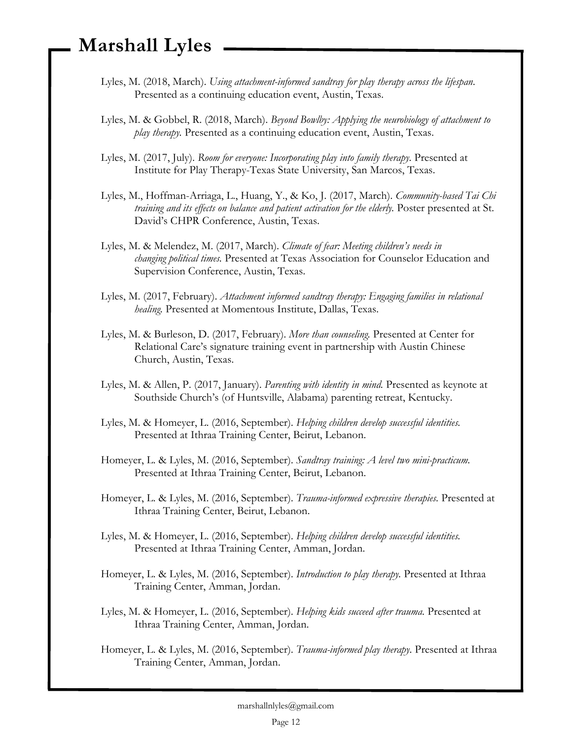- Lyles, M. (2018, March). *Using attachment-informed sandtray for play therapy across the lifespan*. Presented as a continuing education event, Austin, Texas.
- Lyles, M. & Gobbel, R. (2018, March). *Beyond Bowlby: Applying the neurobiology of attachment to play therapy.* Presented as a continuing education event, Austin, Texas.
- Lyles, M. (2017, July). *Room for everyone: Incorporating play into family therapy.* Presented at Institute for Play Therapy-Texas State University, San Marcos, Texas.
- Lyles, M., Hoffman-Arriaga, L., Huang, Y., & Ko, J. (2017, March). *Community-based Tai Chi training and its effects on balance and patient activation for the elderly.* Poster presented at St. David's CHPR Conference, Austin, Texas.
- Lyles, M. & Melendez, M. (2017, March). *Climate of fear: Meeting children's needs in changing political times.* Presented at Texas Association for Counselor Education and Supervision Conference, Austin, Texas.
- Lyles, M. (2017, February). *Attachment informed sandtray therapy: Engaging families in relational healing.* Presented at Momentous Institute, Dallas, Texas.
- Lyles, M. & Burleson, D. (2017, February). *More than counseling.* Presented at Center for Relational Care's signature training event in partnership with Austin Chinese Church, Austin, Texas.
- Lyles, M. & Allen, P. (2017, January). *Parenting with identity in mind.* Presented as keynote at Southside Church's (of Huntsville, Alabama) parenting retreat, Kentucky.
- Lyles, M. & Homeyer, L. (2016, September). *Helping children develop successful identities.*  Presented at Ithraa Training Center, Beirut, Lebanon.
- Homeyer, L. & Lyles, M. (2016, September). *Sandtray training: A level two mini-practicum.* Presented at Ithraa Training Center, Beirut, Lebanon.
- Homeyer, L. & Lyles, M. (2016, September). *Trauma-informed expressive therapies.* Presented at Ithraa Training Center, Beirut, Lebanon.
- Lyles, M. & Homeyer, L. (2016, September). *Helping children develop successful identities.* Presented at Ithraa Training Center, Amman, Jordan.
- Homeyer, L. & Lyles, M. (2016, September). *Introduction to play therapy.* Presented at Ithraa Training Center, Amman, Jordan.
- Lyles, M. & Homeyer, L. (2016, September). *Helping kids succeed after trauma.* Presented at Ithraa Training Center, Amman, Jordan.
- Homeyer, L. & Lyles, M. (2016, September). *Trauma-informed play therapy.* Presented at Ithraa Training Center, Amman, Jordan.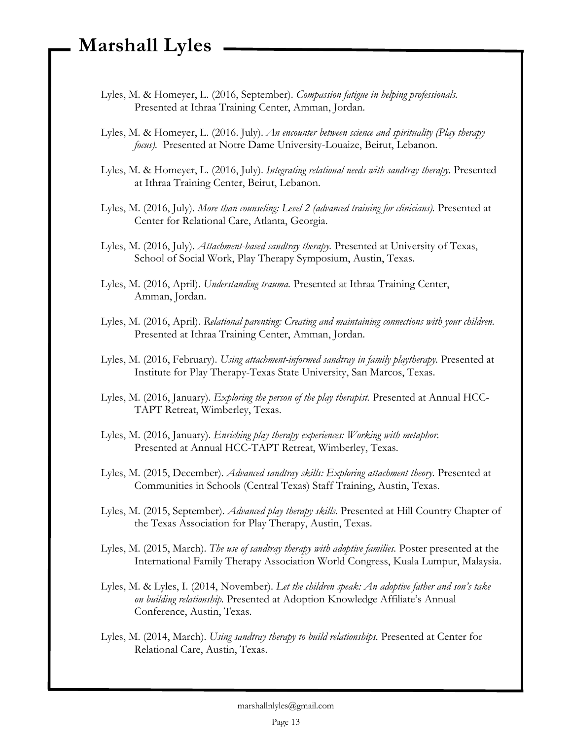- Lyles, M. & Homeyer, L. (2016, September). *Compassion fatigue in helping professionals.* Presented at Ithraa Training Center, Amman, Jordan.
- Lyles, M. & Homeyer, L. (2016. July). *An encounter between science and spirituality (Play therapy focus).* Presented at Notre Dame University-Louaize, Beirut, Lebanon.
- Lyles, M. & Homeyer, L. (2016, July). *Integrating relational needs with sandtray therapy.* Presented at Ithraa Training Center, Beirut, Lebanon.
- Lyles, M. (2016, July). *More than counseling: Level 2 (advanced training for clinicians).* Presented at Center for Relational Care, Atlanta, Georgia.
- Lyles, M. (2016, July). *Attachment-based sandtray therapy.* Presented at University of Texas, School of Social Work, Play Therapy Symposium, Austin, Texas.
- Lyles, M. (2016, April). *Understanding trauma.* Presented at Ithraa Training Center, Amman, Jordan.
- Lyles, M. (2016, April). *Relational parenting: Creating and maintaining connections with your children.* Presented at Ithraa Training Center, Amman, Jordan.
- Lyles, M. (2016, February). *Using attachment-informed sandtray in family playtherapy.* Presented at Institute for Play Therapy-Texas State University, San Marcos, Texas.
- Lyles, M. (2016, January). *Exploring the person of the play therapist.* Presented at Annual HCC-TAPT Retreat, Wimberley, Texas.
- Lyles, M. (2016, January). *Enriching play therapy experiences: Working with metaphor.* Presented at Annual HCC-TAPT Retreat, Wimberley, Texas.
- Lyles, M. (2015, December). *Advanced sandtray skills: Exploring attachment theory.* Presented at Communities in Schools (Central Texas) Staff Training, Austin, Texas.
- Lyles, M. (2015, September). *Advanced play therapy skills.* Presented at Hill Country Chapter of the Texas Association for Play Therapy, Austin, Texas.
- Lyles, M. (2015, March). *The use of sandtray therapy with adoptive families.* Poster presented at the International Family Therapy Association World Congress, Kuala Lumpur, Malaysia.
- Lyles, M. & Lyles, I. (2014, November). *Let the children speak: An adoptive father and son's take on building relationship.* Presented at Adoption Knowledge Affiliate's Annual Conference, Austin, Texas.
- Lyles, M. (2014, March). *Using sandtray therapy to build relationships.* Presented at Center for Relational Care, Austin, Texas.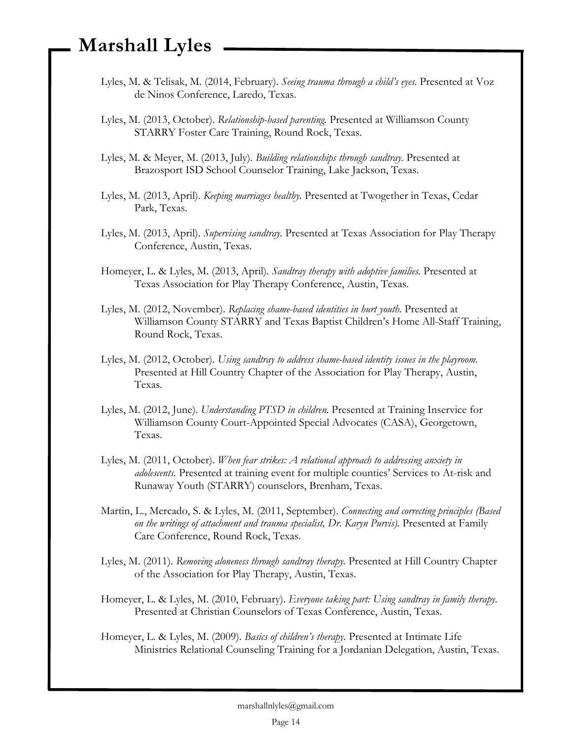- Lyles, M. & Telisak, M. (2014, February). *Seeing trauma through a child's eyes.* Presented at Voz de Ninos Conference, Laredo, Texas.
- Lyles, M. (2013, October). *Relationship-based parenting.* Presented at Williamson County STARRY Foster Care Training, Round Rock, Texas.
- Lyles, M. & Meyer, M. (2013, July). *Building relationships through sandtray.* Presented at Brazosport ISD School Counselor Training, Lake Jackson, Texas.
- Lyles, M. (2013, April). *Keeping marriages healthy.* Presented at Twogether in Texas, Cedar Park, Texas.
- Lyles, M. (2013, April). *Supervising sandtray.* Presented at Texas Association for Play Therapy Conference, Austin, Texas.
- Homeyer, L. & Lyles, M. (2013, April). *Sandtray therapy with adoptive families.* Presented at Texas Association for Play Therapy Conference, Austin, Texas.
- Lyles, M. (2012, November). *Replacing shame-based identities in hurt youth.* Presented at Williamson County STARRY and Texas Baptist Children's Home All-Staff Training, Round Rock, Texas.
- Lyles, M. (2012, October). *Using sandtray to address shame-based identity issues in the playroom.* Presented at Hill Country Chapter of the Association for Play Therapy, Austin, Texas.
- Lyles, M. (2012, June). *Understanding PTSD in children.* Presented at Training Inservice for Williamson County Court-Appointed Special Advocates (CASA), Georgetown, Texas.
- Lyles, M. (2011, October). *When fear strikes: A relational approach to addressing anxiety in adolescents.* Presented at training event for multiple counties' Services to At-risk and Runaway Youth (STARRY) counselors, Brenham, Texas.
- Martin, L., Mercado, S. & Lyles, M. (2011, September). *Connecting and correcting principles (Based on the writings of attachment and trauma specialist, Dr. Karyn Purvis).* Presented at Family Care Conference, Round Rock, Texas.
- Lyles, M. (2011). *Removing aloneness through sandtray therapy.* Presented at Hill Country Chapter of the Association for Play Therapy, Austin, Texas.
- Homeyer, L. & Lyles, M. (2010, February). *Everyone taking part: Using sandtray in family therapy.* Presented at Christian Counselors of Texas Conference, Austin, Texas.
- Homeyer, L. & Lyles, M. (2009). *Basics of children's therapy.* Presented at Intimate Life Ministries Relational Counseling Training for a Jordanian Delegation, Austin, Texas.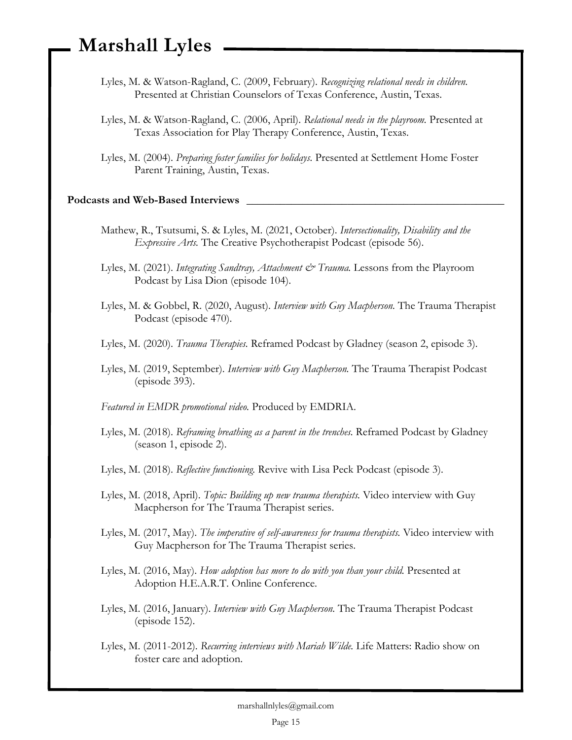- Lyles, M. & Watson-Ragland, C. (2009, February). *Recognizing relational needs in children.* Presented at Christian Counselors of Texas Conference, Austin, Texas.
- Lyles, M. & Watson-Ragland, C. (2006, April). *Relational needs in the playroom.* Presented at Texas Association for Play Therapy Conference, Austin, Texas.
- Lyles, M. (2004). *Preparing foster families for holidays.* Presented at Settlement Home Foster Parent Training, Austin, Texas.

#### **Podcasts and Web-Based Interviews \_\_\_\_\_\_\_\_\_\_\_\_\_\_\_\_\_\_\_\_\_\_\_\_\_\_\_\_\_\_\_\_\_\_\_\_\_\_\_\_\_\_\_\_\_\_**

- Mathew, R., Tsutsumi, S. & Lyles, M. (2021, October). *Intersectionality, Disability and the Expressive Arts.* The Creative Psychotherapist Podcast (episode 56).
- Lyles, M. (2021). *Integrating Sandtray, Attachment & Trauma*. Lessons from the Playroom Podcast by Lisa Dion (episode 104).
- Lyles, M. & Gobbel, R. (2020, August). *Interview with Guy Macpherson.* The Trauma Therapist Podcast (episode 470).
- Lyles, M. (2020). *Trauma Therapies.* Reframed Podcast by Gladney (season 2, episode 3).
- Lyles, M. (2019, September). *Interview with Guy Macpherson.* The Trauma Therapist Podcast (episode 393).
- *Featured in EMDR promotional video.* Produced by EMDRIA.
- Lyles, M. (2018). *Reframing breathing as a parent in the trenches.* Reframed Podcast by Gladney (season 1, episode 2).
- Lyles, M. (2018). *Reflective functioning.* Revive with Lisa Peck Podcast (episode 3).
- Lyles, M. (2018, April). *Topic: Building up new trauma therapists.* Video interview with Guy Macpherson for The Trauma Therapist series.
- Lyles, M. (2017, May). *The imperative of self-awareness for trauma therapists.* Video interview with Guy Macpherson for The Trauma Therapist series.
- Lyles, M. (2016, May). *How adoption has more to do with you than your child.* Presented at Adoption H.E.A.R.T. Online Conference.
- Lyles, M. (2016, January). *Interview with Guy Macpherson.* The Trauma Therapist Podcast (episode 152).
- Lyles, M. (2011-2012). *Recurring interviews with Mariah Wilde.* Life Matters: Radio show on foster care and adoption.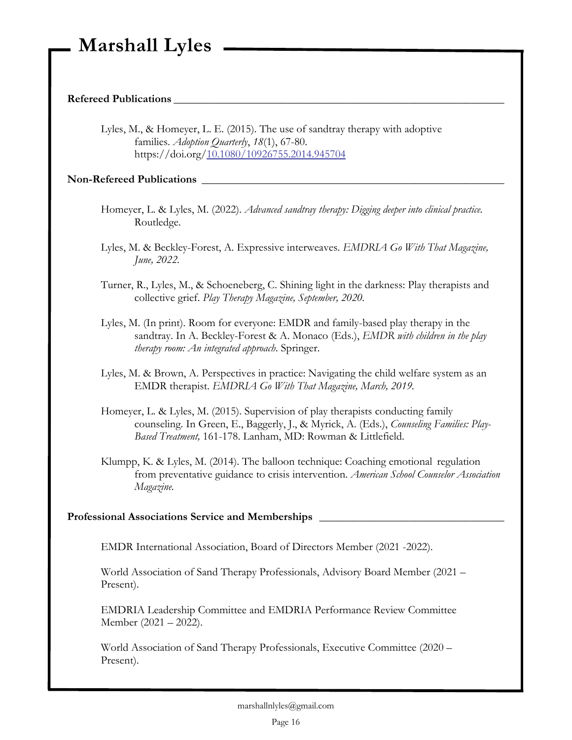#### **Refereed Publications \_\_\_\_\_\_\_\_\_\_\_\_\_\_\_\_\_\_\_\_\_\_\_\_\_\_\_\_\_\_\_\_\_\_\_\_\_\_\_\_\_\_\_\_\_\_\_\_\_\_\_\_\_\_\_\_\_\_\_**

Lyles, M., & Homeyer, L. E. (2015). The use of sandtray therapy with adoptive families. *Adoption Quarterly*, *18*(1), 67-80. https://doi.org[/10.1080/10926755.2014.945704](http://dx.doi.org/10.1080/10926755.2014.945704)

#### Non-Refereed Publications

- Homeyer, L. & Lyles, M. (2022). *Advanced sandtray therapy: Digging deeper into clinical practice.*  Routledge.
- Lyles, M. & Beckley-Forest, A. Expressive interweaves. *EMDRIA Go With That Magazine, June, 2022.*
- Turner, R., Lyles, M., & Schoeneberg, C. Shining light in the darkness: Play therapists and collective grief. *Play Therapy Magazine, September, 2020.*
- Lyles, M. (In print). Room for everyone: EMDR and family-based play therapy in the sandtray. In A. Beckley-Forest & A. Monaco (Eds.), *EMDR with children in the play therapy room: An integrated approach*. Springer.
- Lyles, M. & Brown, A. Perspectives in practice: Navigating the child welfare system as an EMDR therapist. *EMDRIA Go With That Magazine, March, 2019.*
- Homeyer, L. & Lyles, M. (2015). Supervision of play therapists conducting family counseling. In Green, E., Baggerly, J., & Myrick, A. (Eds.), *Counseling Families: Play-Based Treatment,* 161-178. Lanham, MD: Rowman & Littlefield.
- Klumpp, K. & Lyles, M. (2014). The balloon technique: Coaching emotional regulation from preventative guidance to crisis intervention. *American School Counselor Association Magazine.*

#### Professional Associations Service and Memberships **League 2018**

EMDR International Association, Board of Directors Member (2021 -2022).

World Association of Sand Therapy Professionals, Advisory Board Member (2021 – Present).

EMDRIA Leadership Committee and EMDRIA Performance Review Committee Member (2021 – 2022).

World Association of Sand Therapy Professionals, Executive Committee (2020 – Present).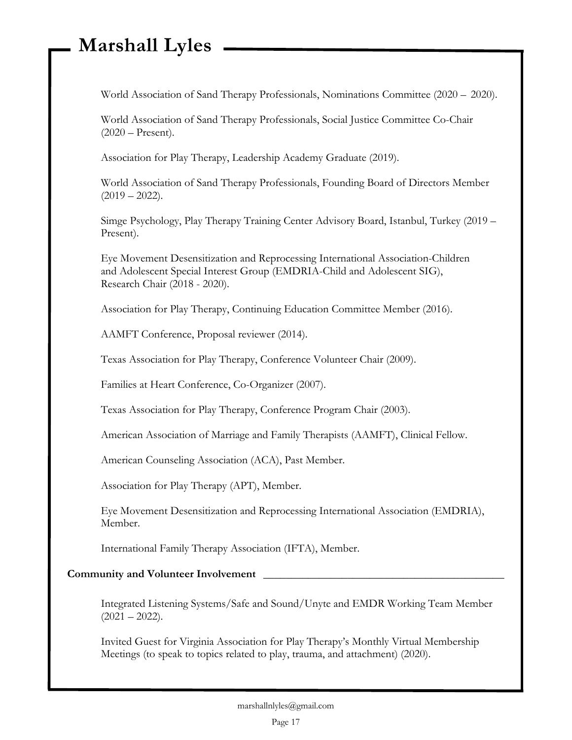World Association of Sand Therapy Professionals, Nominations Committee (2020 – 2020).

World Association of Sand Therapy Professionals, Social Justice Committee Co-Chair (2020 – Present).

Association for Play Therapy, Leadership Academy Graduate (2019).

World Association of Sand Therapy Professionals, Founding Board of Directors Member  $(2019 - 2022)$ .

Simge Psychology, Play Therapy Training Center Advisory Board, Istanbul, Turkey (2019 – Present).

Eye Movement Desensitization and Reprocessing International Association-Children and Adolescent Special Interest Group (EMDRIA-Child and Adolescent SIG), Research Chair (2018 - 2020).

Association for Play Therapy, Continuing Education Committee Member (2016).

AAMFT Conference, Proposal reviewer (2014).

Texas Association for Play Therapy, Conference Volunteer Chair (2009).

Families at Heart Conference, Co-Organizer (2007).

Texas Association for Play Therapy, Conference Program Chair (2003).

American Association of Marriage and Family Therapists (AAMFT), Clinical Fellow.

American Counseling Association (ACA), Past Member.

Association for Play Therapy (APT), Member.

Eye Movement Desensitization and Reprocessing International Association (EMDRIA), Member.

International Family Therapy Association (IFTA), Member.

#### **Community and Volunteer Involvement \_\_\_\_\_\_\_\_\_\_\_\_\_\_\_\_\_\_\_\_\_\_\_\_\_\_\_\_\_\_\_\_\_\_\_\_\_\_\_\_\_\_\_**

Integrated Listening Systems/Safe and Sound/Unyte and EMDR Working Team Member  $(2021 - 2022)$ .

Invited Guest for Virginia Association for Play Therapy's Monthly Virtual Membership Meetings (to speak to topics related to play, trauma, and attachment) (2020).